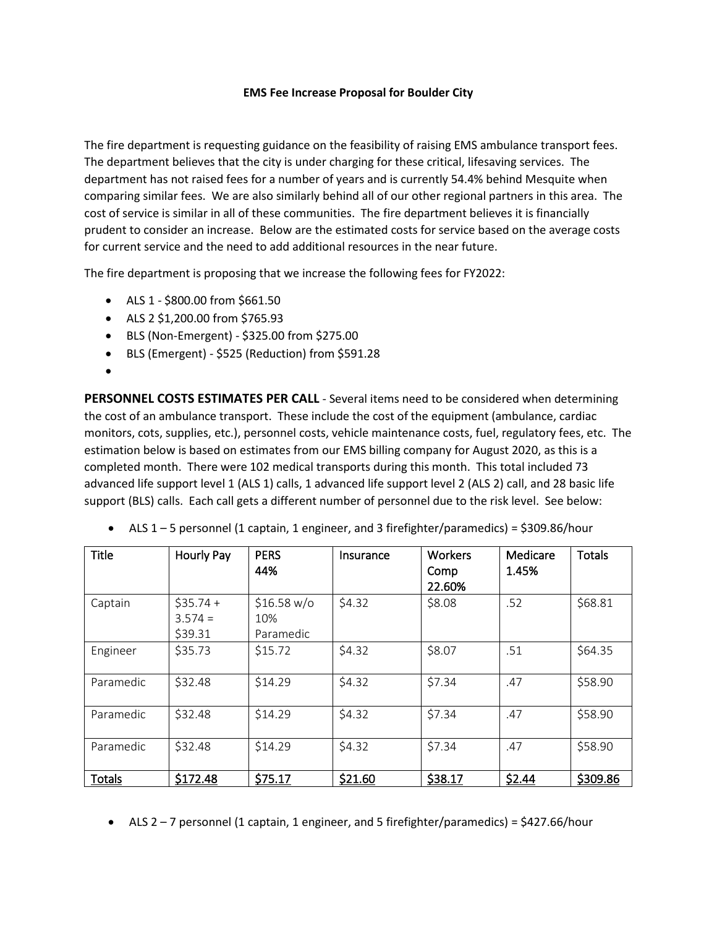## **EMS Fee Increase Proposal for Boulder City**

The fire department is requesting guidance on the feasibility of raising EMS ambulance transport fees. The department believes that the city is under charging for these critical, lifesaving services. The department has not raised fees for a number of years and is currently 54.4% behind Mesquite when comparing similar fees. We are also similarly behind all of our other regional partners in this area. The cost of service is similar in all of these communities. The fire department believes it is financially prudent to consider an increase. Below are the estimated costs for service based on the average costs for current service and the need to add additional resources in the near future.

The fire department is proposing that we increase the following fees for FY2022:

- ALS 1 \$800.00 from \$661.50
- ALS 2 \$1,200.00 from \$765.93
- BLS (Non-Emergent) \$325.00 from \$275.00
- BLS (Emergent) \$525 (Reduction) from \$591.28
- •

**PERSONNEL COSTS ESTIMATES PER CALL** - Several items need to be considered when determining the cost of an ambulance transport. These include the cost of the equipment (ambulance, cardiac monitors, cots, supplies, etc.), personnel costs, vehicle maintenance costs, fuel, regulatory fees, etc. The estimation below is based on estimates from our EMS billing company for August 2020, as this is a completed month. There were 102 medical transports during this month. This total included 73 advanced life support level 1 (ALS 1) calls, 1 advanced life support level 2 (ALS 2) call, and 28 basic life support (BLS) calls. Each call gets a different number of personnel due to the risk level. See below:

| <b>Title</b>  | Hourly Pay                         | <b>PERS</b><br>44%              | Insurance | <b>Workers</b><br>Comp<br>22.60% | Medicare<br>1.45% | <b>Totals</b> |
|---------------|------------------------------------|---------------------------------|-----------|----------------------------------|-------------------|---------------|
| Captain       | $$35.74 +$<br>$3.574 =$<br>\$39.31 | \$16.58 w/o<br>10%<br>Paramedic | \$4.32    | \$8.08                           | .52               | \$68.81       |
| Engineer      | \$35.73                            | \$15.72                         | \$4.32    | \$8.07                           | .51               | \$64.35       |
| Paramedic     | \$32.48                            | \$14.29                         | \$4.32    | \$7.34                           | .47               | \$58.90       |
| Paramedic     | \$32.48                            | \$14.29                         | \$4.32    | \$7.34                           | .47               | \$58.90       |
| Paramedic     | \$32.48                            | \$14.29                         | \$4.32    | \$7.34                           | .47               | \$58.90       |
| <b>Totals</b> | \$172.48                           | \$75.17                         | \$21.60   | \$38.17                          | \$2.44            | \$309.86      |

• ALS 1 – 5 personnel (1 captain, 1 engineer, and 3 firefighter/paramedics) = \$309.86/hour

• ALS  $2 - 7$  personnel (1 captain, 1 engineer, and 5 firefighter/paramedics) = \$427.66/hour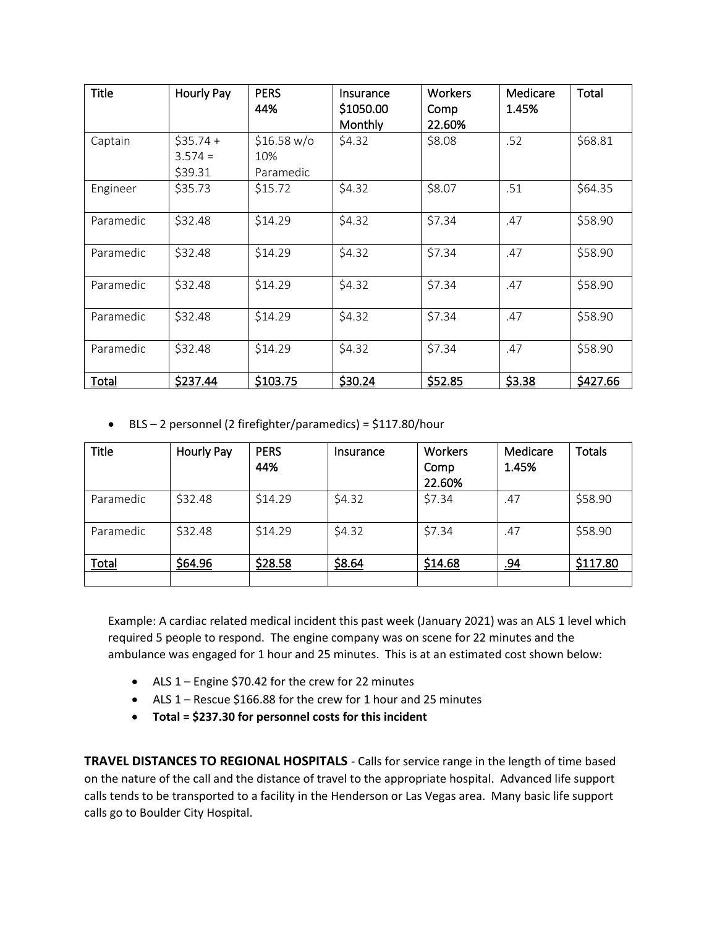| <b>Title</b> | Hourly Pay                         | <b>PERS</b><br>44%              | Insurance<br>\$1050.00<br>Monthly | <b>Workers</b><br>Comp<br>22.60% | Medicare<br>1.45% | Total    |
|--------------|------------------------------------|---------------------------------|-----------------------------------|----------------------------------|-------------------|----------|
| Captain      | $$35.74 +$<br>$3.574 =$<br>\$39.31 | \$16.58 w/o<br>10%<br>Paramedic | \$4.32                            | \$8.08                           | .52               | \$68.81  |
| Engineer     | \$35.73                            | \$15.72                         | \$4.32                            | \$8.07                           | .51               | \$64.35  |
| Paramedic    | \$32.48                            | \$14.29                         | \$4.32                            | \$7.34                           | .47               | \$58.90  |
| Paramedic    | \$32.48                            | \$14.29                         | \$4.32                            | \$7.34                           | .47               | \$58.90  |
| Paramedic    | \$32.48                            | \$14.29                         | \$4.32                            | \$7.34                           | .47               | \$58.90  |
| Paramedic    | \$32.48                            | \$14.29                         | \$4.32                            | \$7.34                           | .47               | \$58.90  |
| Paramedic    | \$32.48                            | \$14.29                         | \$4.32                            | \$7.34                           | .47               | \$58.90  |
| Total        | \$237.44                           | \$103.75                        | \$30.24                           | \$52.85                          | \$3.38            | \$427.66 |

• BLS – 2 personnel (2 firefighter/paramedics) = \$117.80/hour

| <b>Title</b> | <b>Hourly Pay</b> | <b>PERS</b><br>44% | Insurance | Workers<br>Comp<br>22.60% | Medicare<br>1.45% | <b>Totals</b> |
|--------------|-------------------|--------------------|-----------|---------------------------|-------------------|---------------|
| Paramedic    | \$32.48           | \$14.29            | \$4.32    | \$7.34                    | .47               | \$58.90       |
| Paramedic    | \$32.48           | \$14.29            | \$4.32    | \$7.34                    | .47               | \$58.90       |
| Total        | \$64.96           | \$28.58            | \$8.64    | \$14.68                   | <u>.94</u>        | \$117.80      |
|              |                   |                    |           |                           |                   |               |

Example: A cardiac related medical incident this past week (January 2021) was an ALS 1 level which required 5 people to respond. The engine company was on scene for 22 minutes and the ambulance was engaged for 1 hour and 25 minutes. This is at an estimated cost shown below:

- ALS 1 Engine \$70.42 for the crew for 22 minutes
- ALS 1 Rescue \$166.88 for the crew for 1 hour and 25 minutes
- **Total = \$237.30 for personnel costs for this incident**

**TRAVEL DISTANCES TO REGIONAL HOSPITALS** - Calls for service range in the length of time based on the nature of the call and the distance of travel to the appropriate hospital. Advanced life support calls tends to be transported to a facility in the Henderson or Las Vegas area. Many basic life support calls go to Boulder City Hospital.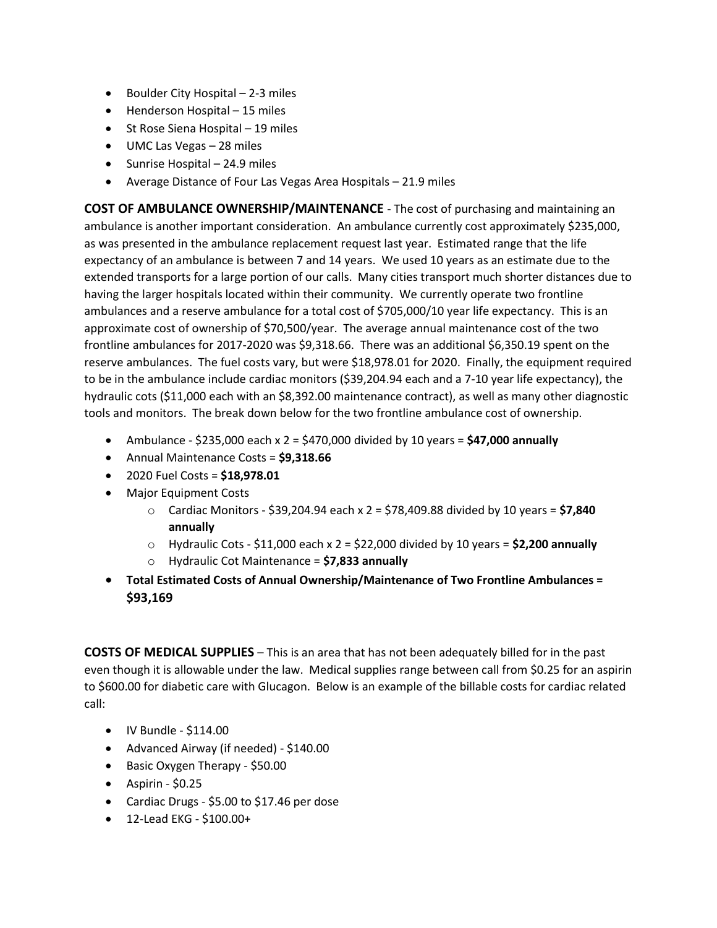- Boulder City Hospital 2-3 miles
- Henderson Hospital 15 miles
- St Rose Siena Hospital 19 miles
- UMC Las Vegas 28 miles
- Sunrise Hospital 24.9 miles
- Average Distance of Four Las Vegas Area Hospitals 21.9 miles

**COST OF AMBULANCE OWNERSHIP/MAINTENANCE** - The cost of purchasing and maintaining an ambulance is another important consideration. An ambulance currently cost approximately \$235,000, as was presented in the ambulance replacement request last year. Estimated range that the life expectancy of an ambulance is between 7 and 14 years. We used 10 years as an estimate due to the extended transports for a large portion of our calls. Many cities transport much shorter distances due to having the larger hospitals located within their community. We currently operate two frontline ambulances and a reserve ambulance for a total cost of \$705,000/10 year life expectancy. This is an approximate cost of ownership of \$70,500/year. The average annual maintenance cost of the two frontline ambulances for 2017-2020 was \$9,318.66. There was an additional \$6,350.19 spent on the reserve ambulances. The fuel costs vary, but were \$18,978.01 for 2020. Finally, the equipment required to be in the ambulance include cardiac monitors (\$39,204.94 each and a 7-10 year life expectancy), the hydraulic cots (\$11,000 each with an \$8,392.00 maintenance contract), as well as many other diagnostic tools and monitors. The break down below for the two frontline ambulance cost of ownership.

- Ambulance \$235,000 each x 2 = \$470,000 divided by 10 years = **\$47,000 annually**
- Annual Maintenance Costs = **\$9,318.66**
- 2020 Fuel Costs = **\$18,978.01**
- Major Equipment Costs
	- o Cardiac Monitors \$39,204.94 each x 2 = \$78,409.88 divided by 10 years = **\$7,840 annually**
	- $\circ$  Hydraulic Cots \$11,000 each  $x$  2 = \$22,000 divided by 10 years = **\$2,200 annually**
	- o Hydraulic Cot Maintenance = **\$7,833 annually**
- **Total Estimated Costs of Annual Ownership/Maintenance of Two Frontline Ambulances = \$93,169**

**COSTS OF MEDICAL SUPPLIES** – This is an area that has not been adequately billed for in the past even though it is allowable under the law. Medical supplies range between call from \$0.25 for an aspirin to \$600.00 for diabetic care with Glucagon. Below is an example of the billable costs for cardiac related call:

- IV Bundle \$114.00
- Advanced Airway (if needed) \$140.00
- Basic Oxygen Therapy \$50.00
- $\bullet$  Aspirin \$0.25
- Cardiac Drugs \$5.00 to \$17.46 per dose
- 12-Lead EKG \$100.00+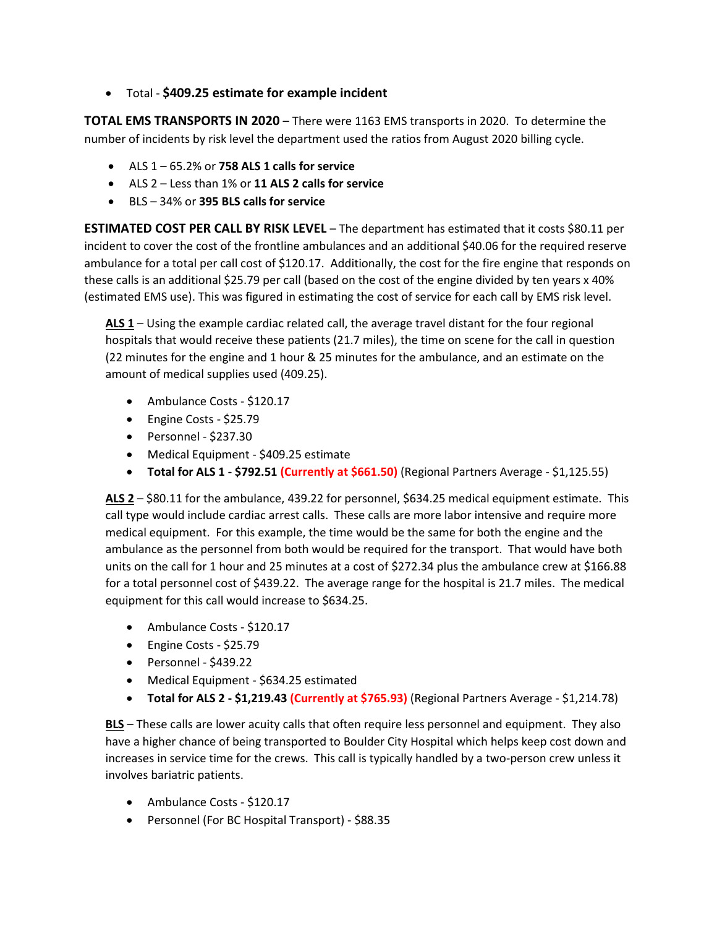• Total - **\$409.25 estimate for example incident**

**TOTAL EMS TRANSPORTS IN 2020** – There were 1163 EMS transports in 2020. To determine the number of incidents by risk level the department used the ratios from August 2020 billing cycle.

- ALS 1 65.2% or **758 ALS 1 calls for service**
- ALS 2 Less than 1% or **11 ALS 2 calls for service**
- BLS 34% or **395 BLS calls for service**

**ESTIMATED COST PER CALL BY RISK LEVEL** – The department has estimated that it costs \$80.11 per incident to cover the cost of the frontline ambulances and an additional \$40.06 for the required reserve ambulance for a total per call cost of \$120.17. Additionally, the cost for the fire engine that responds on these calls is an additional \$25.79 per call (based on the cost of the engine divided by ten years x 40% (estimated EMS use). This was figured in estimating the cost of service for each call by EMS risk level.

**ALS 1** – Using the example cardiac related call, the average travel distant for the four regional hospitals that would receive these patients (21.7 miles), the time on scene for the call in question (22 minutes for the engine and 1 hour & 25 minutes for the ambulance, and an estimate on the amount of medical supplies used (409.25).

- Ambulance Costs \$120.17
- Engine Costs \$25.79
- Personnel \$237.30
- Medical Equipment \$409.25 estimate
- **Total for ALS 1 - \$792.51 (Currently at \$661.50)** (Regional Partners Average \$1,125.55)

**ALS 2** – \$80.11 for the ambulance, 439.22 for personnel, \$634.25 medical equipment estimate. This call type would include cardiac arrest calls. These calls are more labor intensive and require more medical equipment. For this example, the time would be the same for both the engine and the ambulance as the personnel from both would be required for the transport. That would have both units on the call for 1 hour and 25 minutes at a cost of \$272.34 plus the ambulance crew at \$166.88 for a total personnel cost of \$439.22. The average range for the hospital is 21.7 miles. The medical equipment for this call would increase to \$634.25.

- Ambulance Costs \$120.17
- Engine Costs \$25.79
- Personnel \$439.22
- Medical Equipment \$634.25 estimated
- **Total for ALS 2 - \$1,219.43 (Currently at \$765.93)** (Regional Partners Average \$1,214.78)

**BLS** – These calls are lower acuity calls that often require less personnel and equipment. They also have a higher chance of being transported to Boulder City Hospital which helps keep cost down and increases in service time for the crews. This call is typically handled by a two-person crew unless it involves bariatric patients.

- Ambulance Costs \$120.17
- Personnel (For BC Hospital Transport) \$88.35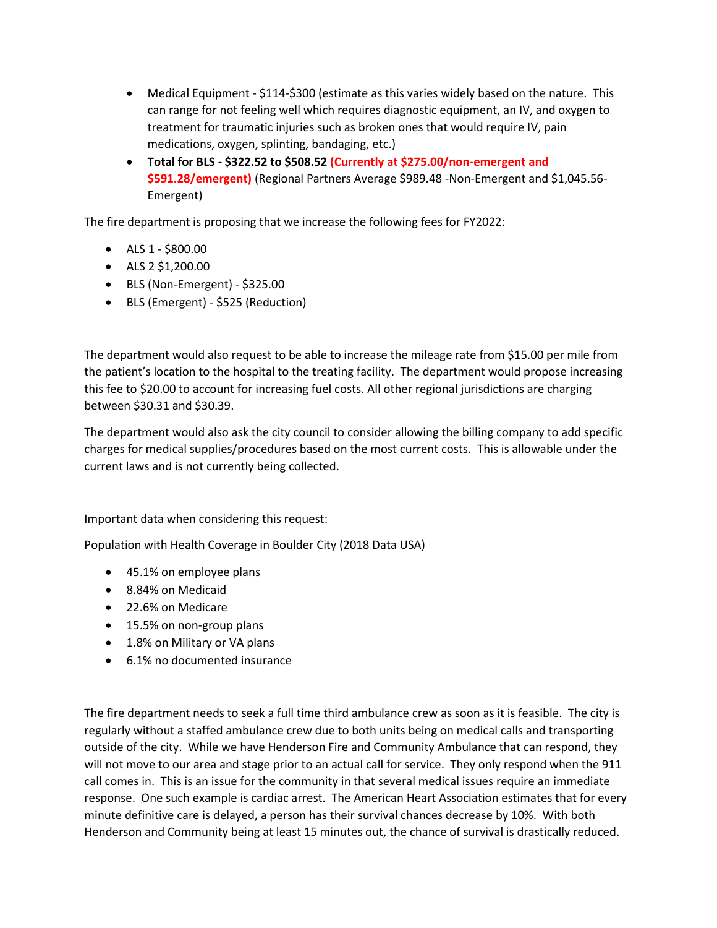- Medical Equipment \$114-\$300 (estimate as this varies widely based on the nature. This can range for not feeling well which requires diagnostic equipment, an IV, and oxygen to treatment for traumatic injuries such as broken ones that would require IV, pain medications, oxygen, splinting, bandaging, etc.)
- **Total for BLS - \$322.52 to \$508.52 (Currently at \$275.00/non-emergent and \$591.28/emergent)** (Regional Partners Average \$989.48 -Non-Emergent and \$1,045.56- Emergent)

The fire department is proposing that we increase the following fees for FY2022:

- ALS 1 \$800.00
- ALS 2 \$1,200.00
- BLS (Non-Emergent) \$325.00
- BLS (Emergent) \$525 (Reduction)

The department would also request to be able to increase the mileage rate from \$15.00 per mile from the patient's location to the hospital to the treating facility. The department would propose increasing this fee to \$20.00 to account for increasing fuel costs. All other regional jurisdictions are charging between \$30.31 and \$30.39.

The department would also ask the city council to consider allowing the billing company to add specific charges for medical supplies/procedures based on the most current costs. This is allowable under the current laws and is not currently being collected.

Important data when considering this request:

Population with Health Coverage in Boulder City (2018 Data USA)

- 45.1% on employee plans
- 8.84% on Medicaid
- 22.6% on Medicare
- 15.5% on non-group plans
- 1.8% on Military or VA plans
- 6.1% no documented insurance

The fire department needs to seek a full time third ambulance crew as soon as it is feasible. The city is regularly without a staffed ambulance crew due to both units being on medical calls and transporting outside of the city. While we have Henderson Fire and Community Ambulance that can respond, they will not move to our area and stage prior to an actual call for service. They only respond when the 911 call comes in. This is an issue for the community in that several medical issues require an immediate response. One such example is cardiac arrest. The American Heart Association estimates that for every minute definitive care is delayed, a person has their survival chances decrease by 10%. With both Henderson and Community being at least 15 minutes out, the chance of survival is drastically reduced.